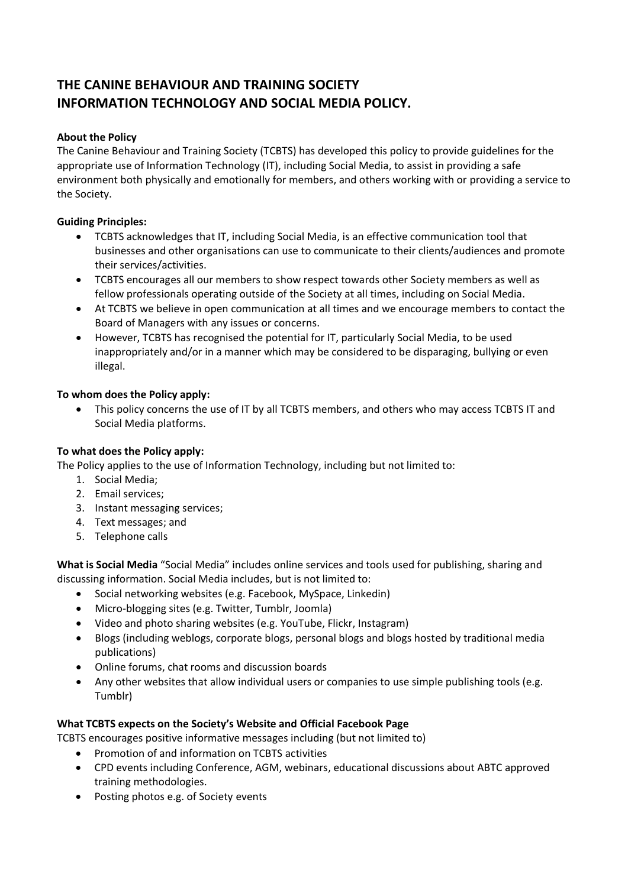# **THE CANINE BEHAVIOUR AND TRAINING SOCIETY INFORMATION TECHNOLOGY AND SOCIAL MEDIA POLICY.**

### **About the Policy**

The Canine Behaviour and Training Society (TCBTS) has developed this policy to provide guidelines for the appropriate use of Information Technology (IT), including Social Media, to assist in providing a safe environment both physically and emotionally for members, and others working with or providing a service to the Society.

## **Guiding Principles:**

- TCBTS acknowledges that IT, including Social Media, is an effective communication tool that businesses and other organisations can use to communicate to their clients/audiences and promote their services/activities.
- TCBTS encourages all our members to show respect towards other Society members as well as fellow professionals operating outside of the Society at all times, including on Social Media.
- At TCBTS we believe in open communication at all times and we encourage members to contact the Board of Managers with any issues or concerns.
- However, TCBTS has recognised the potential for IT, particularly Social Media, to be used inappropriately and/or in a manner which may be considered to be disparaging, bullying or even illegal.

## **To whom does the Policy apply:**

 This policy concerns the use of IT by all TCBTS members, and others who may access TCBTS IT and Social Media platforms.

# **To what does the Policy apply:**

The Policy applies to the use of Information Technology, including but not limited to:

- 1. Social Media;
- 2. Email services;
- 3. Instant messaging services;
- 4. Text messages; and
- 5. Telephone calls

**What is Social Media** "Social Media" includes online services and tools used for publishing, sharing and discussing information. Social Media includes, but is not limited to:

- Social networking websites (e.g. Facebook, MySpace, Linkedin)
- Micro-blogging sites (e.g. Twitter, Tumblr, Joomla)
- Video and photo sharing websites (e.g. YouTube, Flickr, Instagram)
- Blogs (including weblogs, corporate blogs, personal blogs and blogs hosted by traditional media publications)
- Online forums, chat rooms and discussion boards
- Any other websites that allow individual users or companies to use simple publishing tools (e.g. Tumblr)

# **What TCBTS expects on the Society's Website and Official Facebook Page**

- TCBTS encourages positive informative messages including (but not limited to)
	- Promotion of and information on TCBTS activities
	- CPD events including Conference, AGM, webinars, educational discussions about ABTC approved training methodologies.
	- Posting photos e.g. of Society events